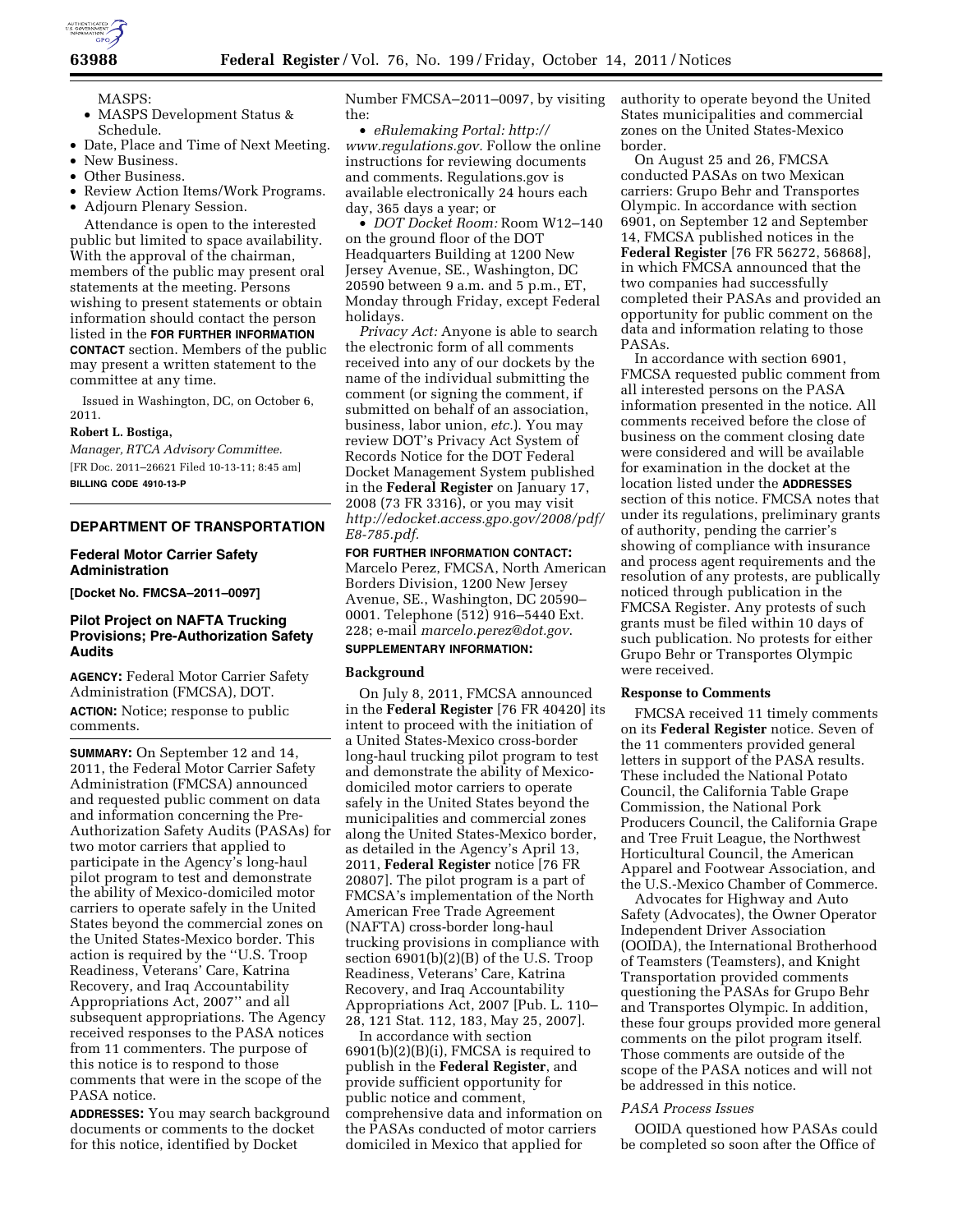

- MASPS:
- MASPS Development Status & Schedule.
- Date, Place and Time of Next Meeting.
- New Business.
- Other Business.
- Review Action Items/Work Programs.
- Adjourn Plenary Session.

Attendance is open to the interested public but limited to space availability. With the approval of the chairman, members of the public may present oral statements at the meeting. Persons wishing to present statements or obtain information should contact the person listed in the **FOR FURTHER INFORMATION CONTACT** section. Members of the public may present a written statement to the committee at any time.

Issued in Washington, DC, on October 6, 2011.

#### **Robert L. Bostiga,**

*Manager, RTCA Advisory Committee.*  [FR Doc. 2011–26621 Filed 10-13-11; 8:45 am] **BILLING CODE 4910-13-P** 

## **DEPARTMENT OF TRANSPORTATION**

#### **Federal Motor Carrier Safety Administration**

**[Docket No. FMCSA–2011–0097]** 

### **Pilot Project on NAFTA Trucking Provisions; Pre-Authorization Safety Audits**

**AGENCY:** Federal Motor Carrier Safety Administration (FMCSA), DOT. **ACTION:** Notice; response to public

# comments.

**SUMMARY:** On September 12 and 14, 2011, the Federal Motor Carrier Safety Administration (FMCSA) announced and requested public comment on data and information concerning the Pre-Authorization Safety Audits (PASAs) for two motor carriers that applied to participate in the Agency's long-haul pilot program to test and demonstrate the ability of Mexico-domiciled motor carriers to operate safely in the United States beyond the commercial zones on the United States-Mexico border. This action is required by the ''U.S. Troop Readiness, Veterans' Care, Katrina Recovery, and Iraq Accountability Appropriations Act, 2007'' and all subsequent appropriations. The Agency received responses to the PASA notices from 11 commenters. The purpose of this notice is to respond to those comments that were in the scope of the PASA notice.

**ADDRESSES:** You may search background documents or comments to the docket for this notice, identified by Docket

Number FMCSA–2011–0097, by visiting the:

• *eRulemaking Portal: [http://](http://www.regulations.gov) [www.regulations.gov.](http://www.regulations.gov)* Follow the online instructions for reviewing documents and comments. Regulations.gov is available electronically 24 hours each day, 365 days a year; or

• *DOT Docket Room:* Room W12–140 on the ground floor of the DOT Headquarters Building at 1200 New Jersey Avenue, SE., Washington, DC 20590 between 9 a.m. and 5 p.m., ET, Monday through Friday, except Federal holidays.

*Privacy Act:* Anyone is able to search the electronic form of all comments received into any of our dockets by the name of the individual submitting the comment (or signing the comment, if submitted on behalf of an association, business, labor union, *etc.*). You may review DOT's Privacy Act System of Records Notice for the DOT Federal Docket Management System published in the **Federal Register** on January 17, 2008 (73 FR 3316), or you may visit *[http://edocket.access.gpo.gov/2008/pdf/](http://edocket.access.gpo.gov/2008/pdf/E8-785.pdf) [E8-785.pdf.](http://edocket.access.gpo.gov/2008/pdf/E8-785.pdf)* 

### **FOR FURTHER INFORMATION CONTACT:**  Marcelo Perez, FMCSA, North American Borders Division, 1200 New Jersey Avenue, SE., Washington, DC 20590– 0001. Telephone (512) 916–5440 Ext. 228; e-mail *[marcelo.perez@dot.gov](mailto:marcelo.perez@dot.gov)*. **SUPPLEMENTARY INFORMATION:**

# **Background**

On July 8, 2011, FMCSA announced in the **Federal Register** [76 FR 40420] its intent to proceed with the initiation of a United States-Mexico cross-border long-haul trucking pilot program to test and demonstrate the ability of Mexicodomiciled motor carriers to operate safely in the United States beyond the municipalities and commercial zones along the United States-Mexico border, as detailed in the Agency's April 13, 2011, **Federal Register** notice [76 FR 20807]. The pilot program is a part of FMCSA's implementation of the North American Free Trade Agreement (NAFTA) cross-border long-haul trucking provisions in compliance with section 6901(b)(2)(B) of the U.S. Troop Readiness, Veterans' Care, Katrina Recovery, and Iraq Accountability Appropriations Act, 2007 [Pub. L. 110– 28, 121 Stat. 112, 183, May 25, 2007].

In accordance with section 6901(b)(2)(B)(i), FMCSA is required to publish in the **Federal Register**, and provide sufficient opportunity for public notice and comment, comprehensive data and information on the PASAs conducted of motor carriers domiciled in Mexico that applied for

authority to operate beyond the United States municipalities and commercial zones on the United States-Mexico border.

On August 25 and 26, FMCSA conducted PASAs on two Mexican carriers: Grupo Behr and Transportes Olympic. In accordance with section 6901, on September 12 and September 14, FMCSA published notices in the **Federal Register** [76 FR 56272, 56868], in which FMCSA announced that the two companies had successfully completed their PASAs and provided an opportunity for public comment on the data and information relating to those PASAs.

In accordance with section 6901, FMCSA requested public comment from all interested persons on the PASA information presented in the notice. All comments received before the close of business on the comment closing date were considered and will be available for examination in the docket at the location listed under the **ADDRESSES** section of this notice. FMCSA notes that under its regulations, preliminary grants of authority, pending the carrier's showing of compliance with insurance and process agent requirements and the resolution of any protests, are publically noticed through publication in the FMCSA Register. Any protests of such grants must be filed within 10 days of such publication. No protests for either Grupo Behr or Transportes Olympic were received.

#### **Response to Comments**

FMCSA received 11 timely comments on its **Federal Register** notice. Seven of the 11 commenters provided general letters in support of the PASA results. These included the National Potato Council, the California Table Grape Commission, the National Pork Producers Council, the California Grape and Tree Fruit League, the Northwest Horticultural Council, the American Apparel and Footwear Association, and the U.S.-Mexico Chamber of Commerce.

Advocates for Highway and Auto Safety (Advocates), the Owner Operator Independent Driver Association (OOIDA), the International Brotherhood of Teamsters (Teamsters), and Knight Transportation provided comments questioning the PASAs for Grupo Behr and Transportes Olympic. In addition, these four groups provided more general comments on the pilot program itself. Those comments are outside of the scope of the PASA notices and will not be addressed in this notice.

#### *PASA Process Issues*

OOIDA questioned how PASAs could be completed so soon after the Office of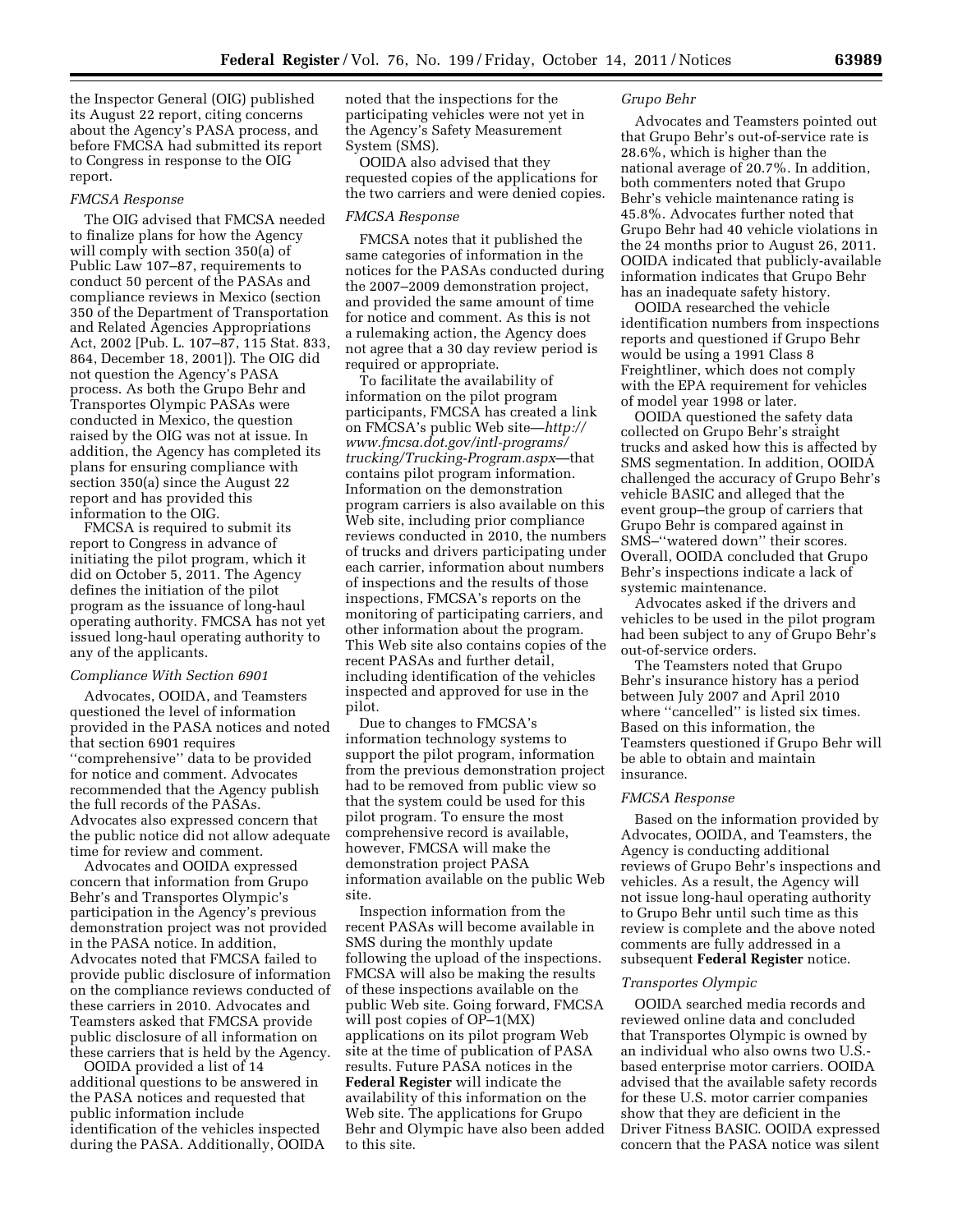the Inspector General (OIG) published its August 22 report, citing concerns about the Agency's PASA process, and before FMCSA had submitted its report to Congress in response to the OIG report.

#### *FMCSA Response*

The OIG advised that FMCSA needed to finalize plans for how the Agency will comply with section 350(a) of Public Law 107–87, requirements to conduct 50 percent of the PASAs and compliance reviews in Mexico (section 350 of the Department of Transportation and Related Agencies Appropriations Act, 2002 [Pub. L. 107–87, 115 Stat. 833, 864, December 18, 2001]). The OIG did not question the Agency's PASA process. As both the Grupo Behr and Transportes Olympic PASAs were conducted in Mexico, the question raised by the OIG was not at issue. In addition, the Agency has completed its plans for ensuring compliance with section 350(a) since the August 22 report and has provided this information to the OIG.

FMCSA is required to submit its report to Congress in advance of initiating the pilot program, which it did on October 5, 2011. The Agency defines the initiation of the pilot program as the issuance of long-haul operating authority. FMCSA has not yet issued long-haul operating authority to any of the applicants.

#### *Compliance With Section 6901*

Advocates, OOIDA, and Teamsters questioned the level of information provided in the PASA notices and noted that section 6901 requires ''comprehensive'' data to be provided for notice and comment. Advocates recommended that the Agency publish the full records of the PASAs. Advocates also expressed concern that the public notice did not allow adequate time for review and comment.

Advocates and OOIDA expressed concern that information from Grupo Behr's and Transportes Olympic's participation in the Agency's previous demonstration project was not provided in the PASA notice. In addition, Advocates noted that FMCSA failed to provide public disclosure of information on the compliance reviews conducted of these carriers in 2010. Advocates and Teamsters asked that FMCSA provide public disclosure of all information on these carriers that is held by the Agency.

OOIDA provided a list of 14 additional questions to be answered in the PASA notices and requested that public information include identification of the vehicles inspected during the PASA. Additionally, OOIDA noted that the inspections for the participating vehicles were not yet in the Agency's Safety Measurement System (SMS).

OOIDA also advised that they requested copies of the applications for the two carriers and were denied copies.

#### *FMCSA Response*

FMCSA notes that it published the same categories of information in the notices for the PASAs conducted during the 2007–2009 demonstration project, and provided the same amount of time for notice and comment. As this is not a rulemaking action, the Agency does not agree that a 30 day review period is required or appropriate.

To facilitate the availability of information on the pilot program participants, FMCSA has created a link on FMCSA's public Web site—*[http://](http://www.fmcsa.dot.gov/intl-programs/trucking/Trucking-Program.aspx) [www.fmcsa.dot.gov/intl-programs/](http://www.fmcsa.dot.gov/intl-programs/trucking/Trucking-Program.aspx) [trucking/Trucking-Program.aspx](http://www.fmcsa.dot.gov/intl-programs/trucking/Trucking-Program.aspx)*—that contains pilot program information. Information on the demonstration program carriers is also available on this Web site, including prior compliance reviews conducted in 2010, the numbers of trucks and drivers participating under each carrier, information about numbers of inspections and the results of those inspections, FMCSA's reports on the monitoring of participating carriers, and other information about the program. This Web site also contains copies of the recent PASAs and further detail, including identification of the vehicles inspected and approved for use in the pilot.

Due to changes to FMCSA's information technology systems to support the pilot program, information from the previous demonstration project had to be removed from public view so that the system could be used for this pilot program. To ensure the most comprehensive record is available, however, FMCSA will make the demonstration project PASA information available on the public Web site.

Inspection information from the recent PASAs will become available in SMS during the monthly update following the upload of the inspections. FMCSA will also be making the results of these inspections available on the public Web site. Going forward, FMCSA will post copies of OP–1(MX) applications on its pilot program Web site at the time of publication of PASA results. Future PASA notices in the **Federal Register** will indicate the availability of this information on the Web site. The applications for Grupo Behr and Olympic have also been added to this site.

#### *Grupo Behr*

Advocates and Teamsters pointed out that Grupo Behr's out-of-service rate is 28.6%, which is higher than the national average of 20.7%. In addition, both commenters noted that Grupo Behr's vehicle maintenance rating is 45.8%. Advocates further noted that Grupo Behr had 40 vehicle violations in the 24 months prior to August 26, 2011. OOIDA indicated that publicly-available information indicates that Grupo Behr has an inadequate safety history.

OOIDA researched the vehicle identification numbers from inspections reports and questioned if Grupo Behr would be using a 1991 Class 8 Freightliner, which does not comply with the EPA requirement for vehicles of model year 1998 or later.

OOIDA questioned the safety data collected on Grupo Behr's straight trucks and asked how this is affected by SMS segmentation. In addition, OOIDA challenged the accuracy of Grupo Behr's vehicle BASIC and alleged that the event group–the group of carriers that Grupo Behr is compared against in SMS–''watered down'' their scores. Overall, OOIDA concluded that Grupo Behr's inspections indicate a lack of systemic maintenance.

Advocates asked if the drivers and vehicles to be used in the pilot program had been subject to any of Grupo Behr's out-of-service orders.

The Teamsters noted that Grupo Behr's insurance history has a period between July 2007 and April 2010 where "cancelled" is listed six times. Based on this information, the Teamsters questioned if Grupo Behr will be able to obtain and maintain insurance.

#### *FMCSA Response*

Based on the information provided by Advocates, OOIDA, and Teamsters, the Agency is conducting additional reviews of Grupo Behr's inspections and vehicles. As a result, the Agency will not issue long-haul operating authority to Grupo Behr until such time as this review is complete and the above noted comments are fully addressed in a subsequent **Federal Register** notice.

#### *Transportes Olympic*

OOIDA searched media records and reviewed online data and concluded that Transportes Olympic is owned by an individual who also owns two U.S. based enterprise motor carriers. OOIDA advised that the available safety records for these U.S. motor carrier companies show that they are deficient in the Driver Fitness BASIC. OOIDA expressed concern that the PASA notice was silent